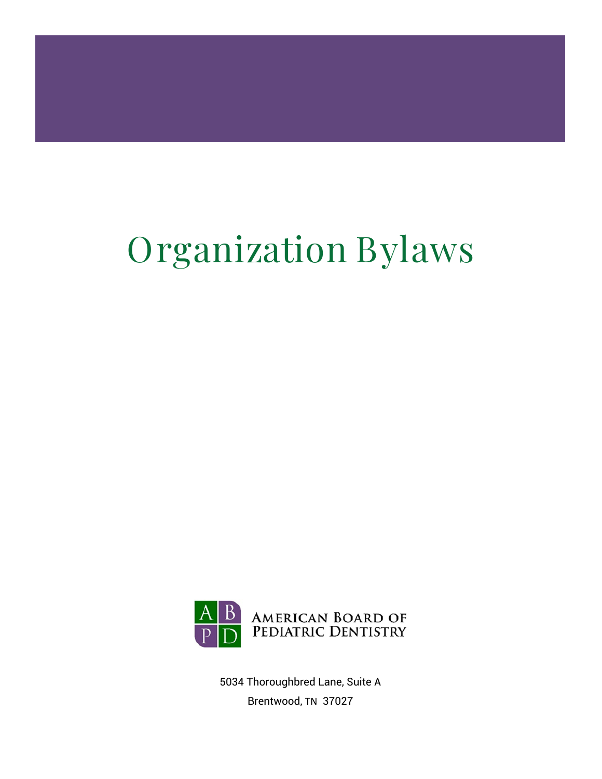# Organization Bylaws



5034 Thoroughbred Lane, Suite A Brentwood, TN 37027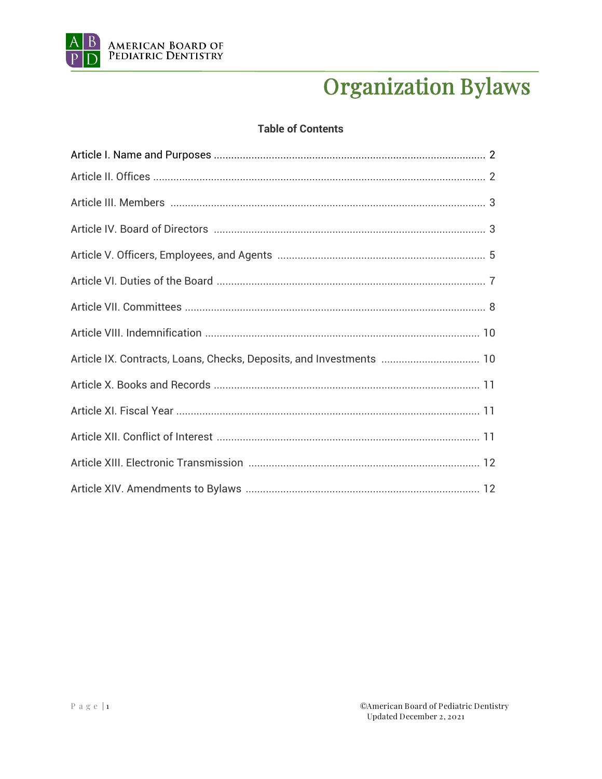

# **Organization Bylaws**

#### **Table of Contents**

| Article IX. Contracts, Loans, Checks, Deposits, and Investments  10 |
|---------------------------------------------------------------------|
|                                                                     |
|                                                                     |
|                                                                     |
|                                                                     |
|                                                                     |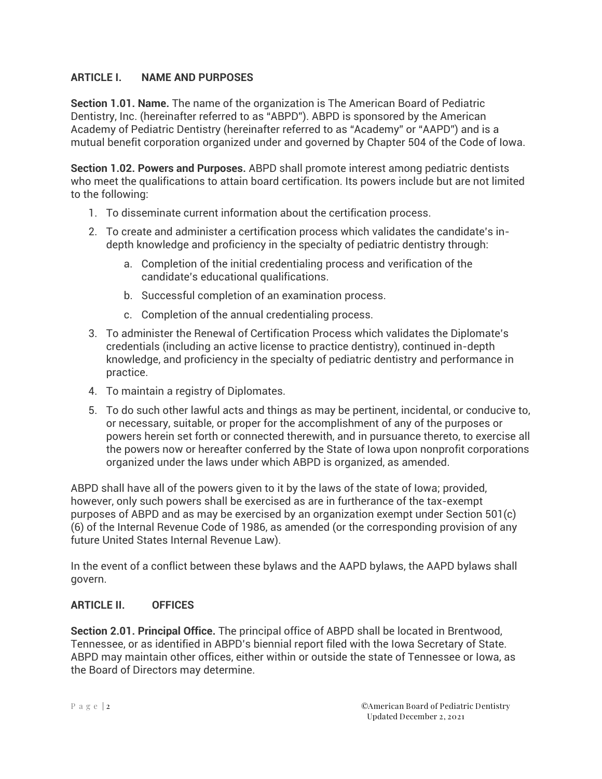## **ARTICLE I. NAME AND PURPOSES**

**Section 1.01. Name.** The name of the organization is The American Board of Pediatric Dentistry, Inc. (hereinafter referred to as "ABPD"). ABPD is sponsored by the American Academy of Pediatric Dentistry (hereinafter referred to as "Academy" or "AAPD") and is a mutual benefit corporation organized under and governed by Chapter 504 of the Code of Iowa.

**Section 1.02. Powers and Purposes.** ABPD shall promote interest among pediatric dentists who meet the qualifications to attain board certification. Its powers include but are not limited to the following:

- 1. To disseminate current information about the certification process.
- 2. To create and administer a certification process which validates the candidate's indepth knowledge and proficiency in the specialty of pediatric dentistry through:
	- a. Completion of the initial credentialing process and verification of the candidate's educational qualifications.
	- b. Successful completion of an examination process.
	- c. Completion of the annual credentialing process.
- 3. To administer the Renewal of Certification Process which validates the Diplomate's credentials (including an active license to practice dentistry), continued in-depth knowledge, and proficiency in the specialty of pediatric dentistry and performance in practice.
- 4. To maintain a registry of Diplomates.
- 5. To do such other lawful acts and things as may be pertinent, incidental, or conducive to, or necessary, suitable, or proper for the accomplishment of any of the purposes or powers herein set forth or connected therewith, and in pursuance thereto, to exercise all the powers now or hereafter conferred by the State of Iowa upon nonprofit corporations organized under the laws under which ABPD is organized, as amended.

ABPD shall have all of the powers given to it by the laws of the state of Iowa; provided, however, only such powers shall be exercised as are in furtherance of the tax-exempt purposes of ABPD and as may be exercised by an organization exempt under Section 501(c) (6) of the Internal Revenue Code of 1986, as amended (or the corresponding provision of any future United States Internal Revenue Law).

In the event of a conflict between these bylaws and the AAPD bylaws, the AAPD bylaws shall govern.

#### **ARTICLE II. OFFICES**

**Section 2.01. Principal Office.** The principal office of ABPD shall be located in Brentwood, Tennessee, or as identified in ABPD's biennial report filed with the Iowa Secretary of State. ABPD may maintain other offices, either within or outside the state of Tennessee or Iowa, as the Board of Directors may determine.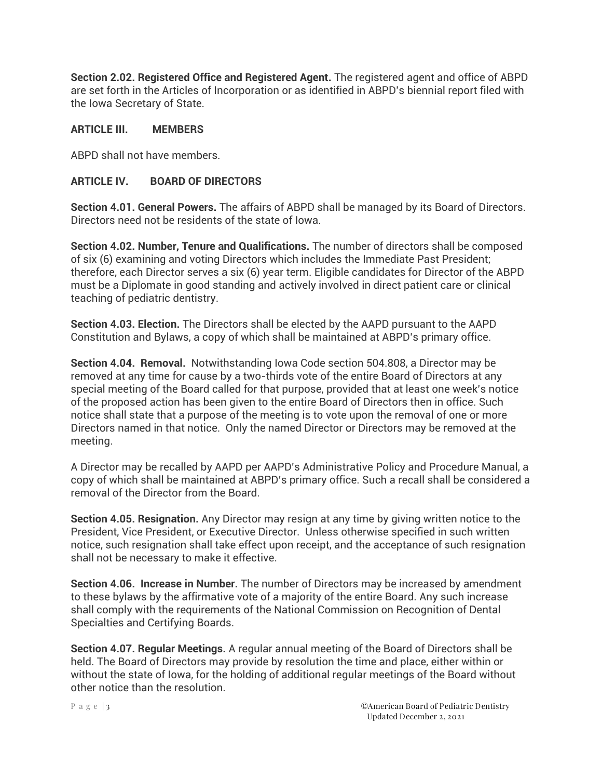**Section 2.02. Registered Office and Registered Agent.** The registered agent and office of ABPD are set forth in the Articles of Incorporation or as identified in ABPD's biennial report filed with the Iowa Secretary of State.

#### **ARTICLE III. MEMBERS**

ABPD shall not have members.

#### **ARTICLE IV. BOARD OF DIRECTORS**

**Section 4.01. General Powers.** The affairs of ABPD shall be managed by its Board of Directors. Directors need not be residents of the state of Iowa.

**Section 4.02. Number, Tenure and Qualifications.** The number of directors shall be composed of six (6) examining and voting Directors which includes the Immediate Past President; therefore, each Director serves a six (6) year term. Eligible candidates for Director of the ABPD must be a Diplomate in good standing and actively involved in direct patient care or clinical teaching of pediatric dentistry.

**Section 4.03. Election.** The Directors shall be elected by the AAPD pursuant to the AAPD Constitution and Bylaws, a copy of which shall be maintained at ABPD's primary office.

**Section 4.04. Removal.** Notwithstanding Iowa Code section 504.808, a Director may be removed at any time for cause by a two-thirds vote of the entire Board of Directors at any special meeting of the Board called for that purpose, provided that at least one week's notice of the proposed action has been given to the entire Board of Directors then in office. Such notice shall state that a purpose of the meeting is to vote upon the removal of one or more Directors named in that notice. Only the named Director or Directors may be removed at the meeting.

A Director may be recalled by AAPD per AAPD's Administrative Policy and Procedure Manual, a copy of which shall be maintained at ABPD's primary office. Such a recall shall be considered a removal of the Director from the Board.

**Section 4.05. Resignation.** Any Director may resign at any time by giving written notice to the President, Vice President, or Executive Director. Unless otherwise specified in such written notice, such resignation shall take effect upon receipt, and the acceptance of such resignation shall not be necessary to make it effective.

**Section 4.06. Increase in Number.** The number of Directors may be increased by amendment to these bylaws by the affirmative vote of a majority of the entire Board. Any such increase shall comply with the requirements of the National Commission on Recognition of Dental Specialties and Certifying Boards.

**Section 4.07. Regular Meetings.** A regular annual meeting of the Board of Directors shall be held. The Board of Directors may provide by resolution the time and place, either within or without the state of Iowa, for the holding of additional regular meetings of the Board without other notice than the resolution.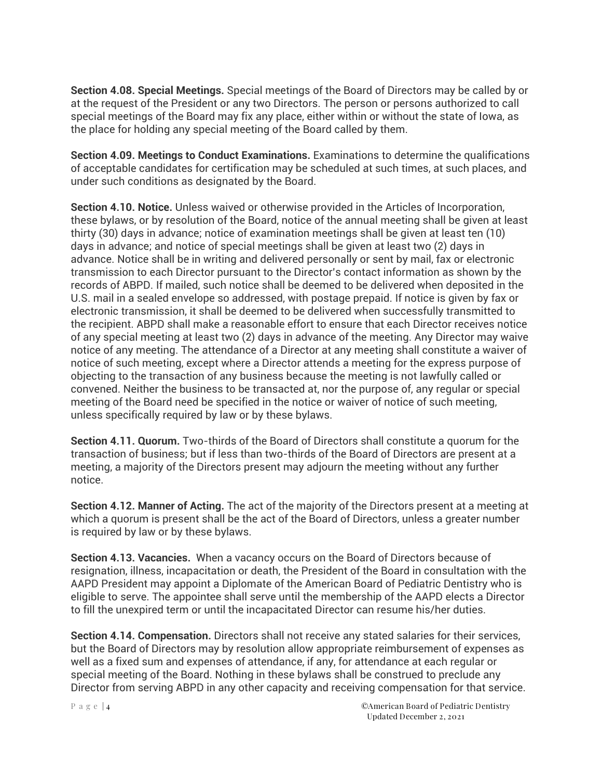**Section 4.08. Special Meetings.** Special meetings of the Board of Directors may be called by or at the request of the President or any two Directors. The person or persons authorized to call special meetings of the Board may fix any place, either within or without the state of Iowa, as the place for holding any special meeting of the Board called by them.

**Section 4.09. Meetings to Conduct Examinations.** Examinations to determine the qualifications of acceptable candidates for certification may be scheduled at such times, at such places, and under such conditions as designated by the Board.

**Section 4.10. Notice.** Unless waived or otherwise provided in the Articles of Incorporation, these bylaws, or by resolution of the Board, notice of the annual meeting shall be given at least thirty (30) days in advance; notice of examination meetings shall be given at least ten (10) days in advance; and notice of special meetings shall be given at least two (2) days in advance. Notice shall be in writing and delivered personally or sent by mail, fax or electronic transmission to each Director pursuant to the Director's contact information as shown by the records of ABPD. If mailed, such notice shall be deemed to be delivered when deposited in the U.S. mail in a sealed envelope so addressed, with postage prepaid. If notice is given by fax or electronic transmission, it shall be deemed to be delivered when successfully transmitted to the recipient. ABPD shall make a reasonable effort to ensure that each Director receives notice of any special meeting at least two (2) days in advance of the meeting. Any Director may waive notice of any meeting. The attendance of a Director at any meeting shall constitute a waiver of notice of such meeting, except where a Director attends a meeting for the express purpose of objecting to the transaction of any business because the meeting is not lawfully called or convened. Neither the business to be transacted at, nor the purpose of, any regular or special meeting of the Board need be specified in the notice or waiver of notice of such meeting, unless specifically required by law or by these bylaws.

**Section 4.11. Quorum.** Two-thirds of the Board of Directors shall constitute a quorum for the transaction of business; but if less than two-thirds of the Board of Directors are present at a meeting, a majority of the Directors present may adjourn the meeting without any further notice.

**Section 4.12. Manner of Acting.** The act of the majority of the Directors present at a meeting at which a quorum is present shall be the act of the Board of Directors, unless a greater number is required by law or by these bylaws.

**Section 4.13. Vacancies.** When a vacancy occurs on the Board of Directors because of resignation, illness, incapacitation or death, the President of the Board in consultation with the AAPD President may appoint a Diplomate of the American Board of Pediatric Dentistry who is eligible to serve. The appointee shall serve until the membership of the AAPD elects a Director to fill the unexpired term or until the incapacitated Director can resume his/her duties.

**Section 4.14. Compensation.** Directors shall not receive any stated salaries for their services, but the Board of Directors may by resolution allow appropriate reimbursement of expenses as well as a fixed sum and expenses of attendance, if any, for attendance at each regular or special meeting of the Board. Nothing in these bylaws shall be construed to preclude any Director from serving ABPD in any other capacity and receiving compensation for that service.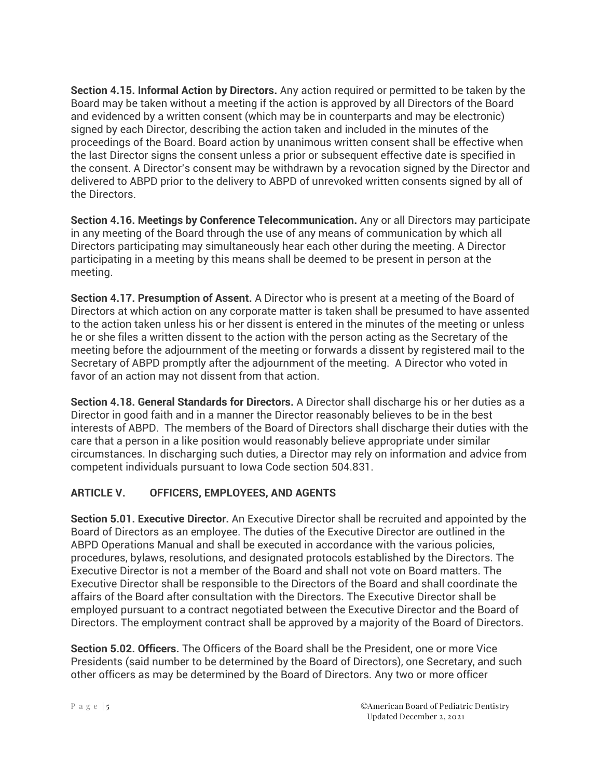**Section 4.15. Informal Action by Directors.** Any action required or permitted to be taken by the Board may be taken without a meeting if the action is approved by all Directors of the Board and evidenced by a written consent (which may be in counterparts and may be electronic) signed by each Director, describing the action taken and included in the minutes of the proceedings of the Board. Board action by unanimous written consent shall be effective when the last Director signs the consent unless a prior or subsequent effective date is specified in the consent. A Director's consent may be withdrawn by a revocation signed by the Director and delivered to ABPD prior to the delivery to ABPD of unrevoked written consents signed by all of the Directors.

**Section 4.16. Meetings by Conference Telecommunication.** Any or all Directors may participate in any meeting of the Board through the use of any means of communication by which all Directors participating may simultaneously hear each other during the meeting. A Director participating in a meeting by this means shall be deemed to be present in person at the meeting.

**Section 4.17. Presumption of Assent.** A Director who is present at a meeting of the Board of Directors at which action on any corporate matter is taken shall be presumed to have assented to the action taken unless his or her dissent is entered in the minutes of the meeting or unless he or she files a written dissent to the action with the person acting as the Secretary of the meeting before the adjournment of the meeting or forwards a dissent by registered mail to the Secretary of ABPD promptly after the adjournment of the meeting. A Director who voted in favor of an action may not dissent from that action.

**Section 4.18. General Standards for Directors.** A Director shall discharge his or her duties as a Director in good faith and in a manner the Director reasonably believes to be in the best interests of ABPD. The members of the Board of Directors shall discharge their duties with the care that a person in a like position would reasonably believe appropriate under similar circumstances. In discharging such duties, a Director may rely on information and advice from competent individuals pursuant to Iowa Code section 504.831.

# **ARTICLE V. OFFICERS, EMPLOYEES, AND AGENTS**

**Section 5.01. Executive Director.** An Executive Director shall be recruited and appointed by the Board of Directors as an employee. The duties of the Executive Director are outlined in the ABPD Operations Manual and shall be executed in accordance with the various policies, procedures, bylaws, resolutions, and designated protocols established by the Directors. The Executive Director is not a member of the Board and shall not vote on Board matters. The Executive Director shall be responsible to the Directors of the Board and shall coordinate the affairs of the Board after consultation with the Directors. The Executive Director shall be employed pursuant to a contract negotiated between the Executive Director and the Board of Directors. The employment contract shall be approved by a majority of the Board of Directors.

**Section 5.02. Officers.** The Officers of the Board shall be the President, one or more Vice Presidents (said number to be determined by the Board of Directors), one Secretary, and such other officers as may be determined by the Board of Directors. Any two or more officer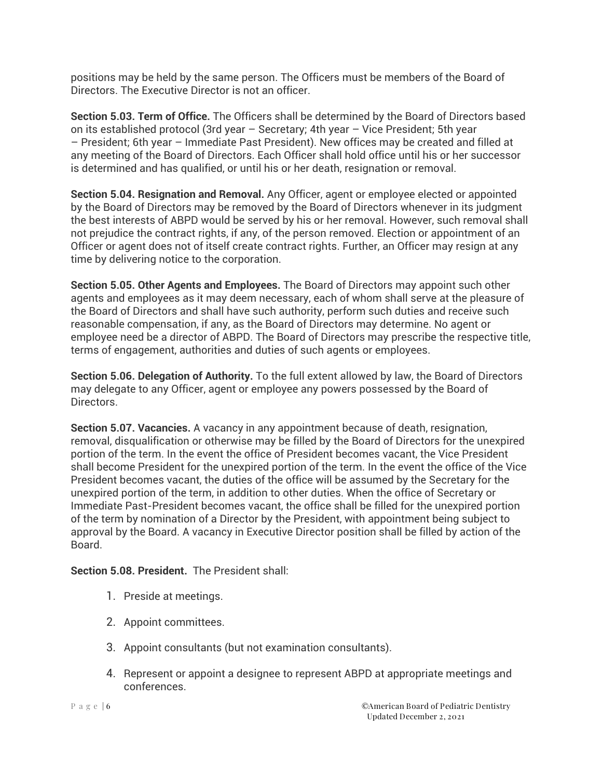positions may be held by the same person. The Officers must be members of the Board of Directors. The Executive Director is not an officer.

**Section 5.03. Term of Office.** The Officers shall be determined by the Board of Directors based on its established protocol (3rd year – Secretary; 4th year – Vice President; 5th year – President; 6th year – Immediate Past President). New offices may be created and filled at any meeting of the Board of Directors. Each Officer shall hold office until his or her successor is determined and has qualified, or until his or her death, resignation or removal.

**Section 5.04. Resignation and Removal.** Any Officer, agent or employee elected or appointed by the Board of Directors may be removed by the Board of Directors whenever in its judgment the best interests of ABPD would be served by his or her removal. However, such removal shall not prejudice the contract rights, if any, of the person removed. Election or appointment of an Officer or agent does not of itself create contract rights. Further, an Officer may resign at any time by delivering notice to the corporation.

**Section 5.05. Other Agents and Employees.** The Board of Directors may appoint such other agents and employees as it may deem necessary, each of whom shall serve at the pleasure of the Board of Directors and shall have such authority, perform such duties and receive such reasonable compensation, if any, as the Board of Directors may determine. No agent or employee need be a director of ABPD. The Board of Directors may prescribe the respective title, terms of engagement, authorities and duties of such agents or employees.

**Section 5.06. Delegation of Authority.** To the full extent allowed by law, the Board of Directors may delegate to any Officer, agent or employee any powers possessed by the Board of Directors.

**Section 5.07. Vacancies.** A vacancy in any appointment because of death, resignation, removal, disqualification or otherwise may be filled by the Board of Directors for the unexpired portion of the term. In the event the office of President becomes vacant, the Vice President shall become President for the unexpired portion of the term. In the event the office of the Vice President becomes vacant, the duties of the office will be assumed by the Secretary for the unexpired portion of the term, in addition to other duties. When the office of Secretary or Immediate Past-President becomes vacant, the office shall be filled for the unexpired portion of the term by nomination of a Director by the President, with appointment being subject to approval by the Board. A vacancy in Executive Director position shall be filled by action of the Board.

**Section 5.08. President.** The President shall:

- 1. Preside at meetings.
- 2. Appoint committees.
- 3. Appoint consultants (but not examination consultants).
- 4. Represent or appoint a designee to represent ABPD at appropriate meetings and conferences.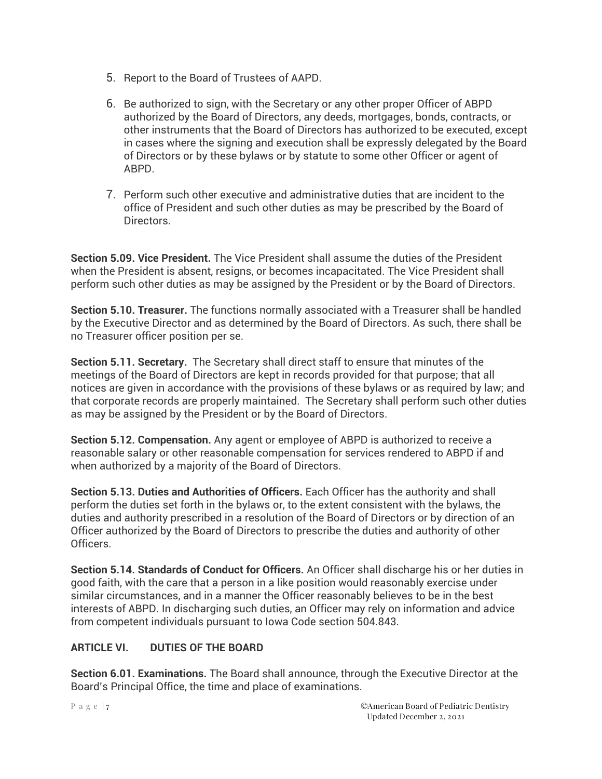- 5. Report to the Board of Trustees of AAPD.
- 6. Be authorized to sign, with the Secretary or any other proper Officer of ABPD authorized by the Board of Directors, any deeds, mortgages, bonds, contracts, or other instruments that the Board of Directors has authorized to be executed, except in cases where the signing and execution shall be expressly delegated by the Board of Directors or by these bylaws or by statute to some other Officer or agent of ABPD.
- 7. Perform such other executive and administrative duties that are incident to the office of President and such other duties as may be prescribed by the Board of Directors.

**Section 5.09. Vice President.** The Vice President shall assume the duties of the President when the President is absent, resigns, or becomes incapacitated. The Vice President shall perform such other duties as may be assigned by the President or by the Board of Directors.

**Section 5.10. Treasurer.** The functions normally associated with a Treasurer shall be handled by the Executive Director and as determined by the Board of Directors. As such, there shall be no Treasurer officer position per se.

**Section 5.11. Secretary.** The Secretary shall direct staff to ensure that minutes of the meetings of the Board of Directors are kept in records provided for that purpose; that all notices are given in accordance with the provisions of these bylaws or as required by law; and that corporate records are properly maintained. The Secretary shall perform such other duties as may be assigned by the President or by the Board of Directors.

**Section 5.12. Compensation.** Any agent or employee of ABPD is authorized to receive a reasonable salary or other reasonable compensation for services rendered to ABPD if and when authorized by a majority of the Board of Directors.

**Section 5.13. Duties and Authorities of Officers.** Each Officer has the authority and shall perform the duties set forth in the bylaws or, to the extent consistent with the bylaws, the duties and authority prescribed in a resolution of the Board of Directors or by direction of an Officer authorized by the Board of Directors to prescribe the duties and authority of other Officers.

**Section 5.14. Standards of Conduct for Officers.** An Officer shall discharge his or her duties in good faith, with the care that a person in a like position would reasonably exercise under similar circumstances, and in a manner the Officer reasonably believes to be in the best interests of ABPD. In discharging such duties, an Officer may rely on information and advice from competent individuals pursuant to Iowa Code section 504.843.

# **ARTICLE VI. DUTIES OF THE BOARD**

**Section 6.01. Examinations.** The Board shall announce, through the Executive Director at the Board's Principal Office, the time and place of examinations.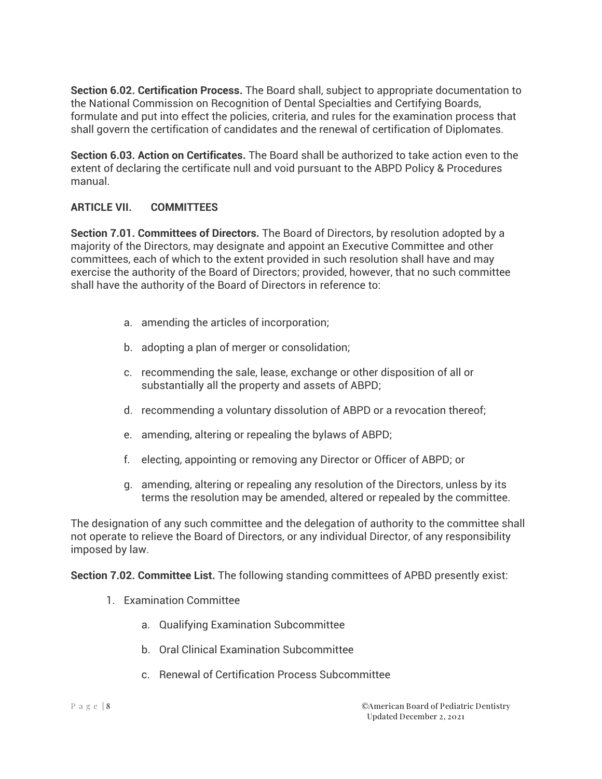**Section 6.02. Certification Process.** The Board shall, subject to appropriate documentation to the National Commission on Recognition of Dental Specialties and Certifying Boards, formulate and put into effect the policies, criteria, and rules for the examination process that shall govern the certification of candidates and the renewal of certification of Diplomates.

**Section 6.03. Action on Certificates.** The Board shall be authorized to take action even to the extent of declaring the certificate null and void pursuant to the ABPD Policy & Procedures manual.

#### **ARTICLE VII. COMMITTEES**

**Section 7.01. Committees of Directors.** The Board of Directors, by resolution adopted by a majority of the Directors, may designate and appoint an Executive Committee and other committees, each of which to the extent provided in such resolution shall have and may exercise the authority of the Board of Directors; provided, however, that no such committee shall have the authority of the Board of Directors in reference to:

- a. amending the articles of incorporation;
- b. adopting a plan of merger or consolidation;
- c. recommending the sale, lease, exchange or other disposition of all or substantially all the property and assets of ABPD;
- d. recommending a voluntary dissolution of ABPD or a revocation thereof;
- e. amending, altering or repealing the bylaws of ABPD;
- f. electing, appointing or removing any Director or Officer of ABPD; or
- g. amending, altering or repealing any resolution of the Directors, unless by its terms the resolution may be amended, altered or repealed by the committee.

The designation of any such committee and the delegation of authority to the committee shall not operate to relieve the Board of Directors, or any individual Director, of any responsibility imposed by law.

**Section 7.02. Committee List.** The following standing committees of APBD presently exist:

- 1. Examination Committee
	- a. Qualifying Examination Subcommittee
	- b. Oral Clinical Examination Subcommittee
	- c. Renewal of Certification Process Subcommittee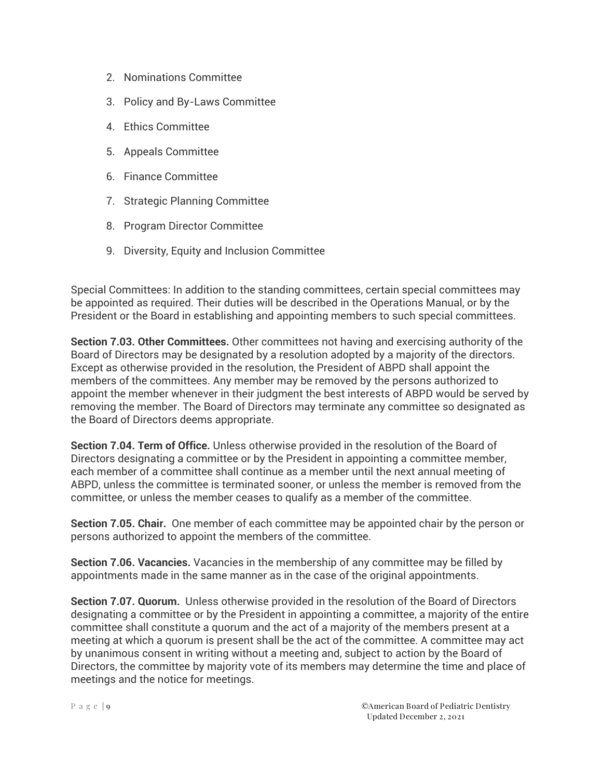- 2. Nominations Committee
- 3. Policy and By-Laws Committee
- 4. Ethics Committee
- 5. Appeals Committee
- 6. Finance Committee
- 7. Strategic Planning Committee
- 8. Program Director Committee
- 9. Diversity, Equity and Inclusion Committee

Special Committees: In addition to the standing committees, certain special committees may be appointed as required. Their duties will be described in the Operations Manual, or by the President or the Board in establishing and appointing members to such special committees.

**Section 7.03. Other Committees.** Other committees not having and exercising authority of the Board of Directors may be designated by a resolution adopted by a majority of the directors. Except as otherwise provided in the resolution, the President of ABPD shall appoint the members of the committees. Any member may be removed by the persons authorized to appoint the member whenever in their judgment the best interests of ABPD would be served by removing the member. The Board of Directors may terminate any committee so designated as the Board of Directors deems appropriate.

**Section 7.04. Term of Office.** Unless otherwise provided in the resolution of the Board of Directors designating a committee or by the President in appointing a committee member, each member of a committee shall continue as a member until the next annual meeting of ABPD, unless the committee is terminated sooner, or unless the member is removed from the committee, or unless the member ceases to qualify as a member of the committee.

**Section 7.05. Chair.** One member of each committee may be appointed chair by the person or persons authorized to appoint the members of the committee.

**Section 7.06. Vacancies.** Vacancies in the membership of any committee may be filled by appointments made in the same manner as in the case of the original appointments.

**Section 7.07. Quorum.** Unless otherwise provided in the resolution of the Board of Directors designating a committee or by the President in appointing a committee, a majority of the entire committee shall constitute a quorum and the act of a majority of the members present at a meeting at which a quorum is present shall be the act of the committee. A committee may act by unanimous consent in writing without a meeting and, subject to action by the Board of Directors, the committee by majority vote of its members may determine the time and place of meetings and the notice for meetings.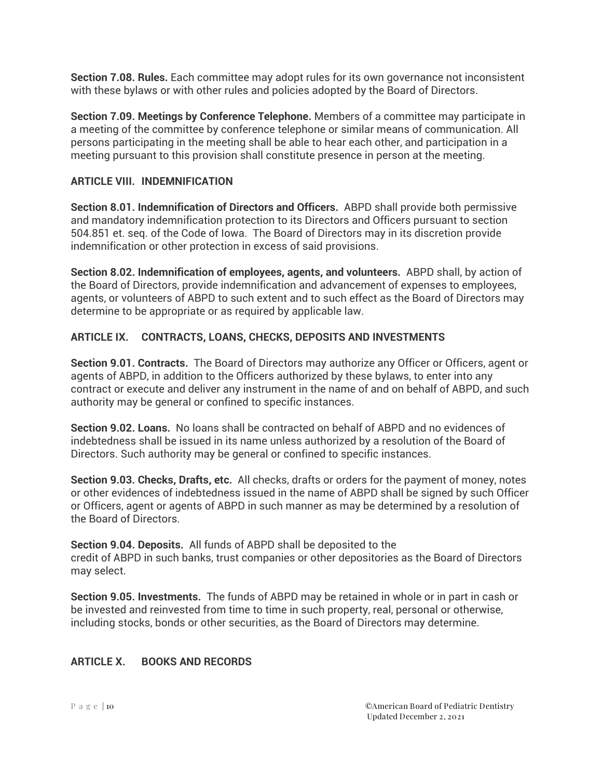**Section 7.08. Rules.** Each committee may adopt rules for its own governance not inconsistent with these bylaws or with other rules and policies adopted by the Board of Directors.

**Section 7.09. Meetings by Conference Telephone.** Members of a committee may participate in a meeting of the committee by conference telephone or similar means of communication. All persons participating in the meeting shall be able to hear each other, and participation in a meeting pursuant to this provision shall constitute presence in person at the meeting.

# **ARTICLE VIII. INDEMNIFICATION**

**Section 8.01. Indemnification of Directors and Officers.** ABPD shall provide both permissive and mandatory indemnification protection to its Directors and Officers pursuant to section 504.851 et. seq. of the Code of Iowa. The Board of Directors may in its discretion provide indemnification or other protection in excess of said provisions.

**Section 8.02. Indemnification of employees, agents, and volunteers.** ABPD shall, by action of the Board of Directors, provide indemnification and advancement of expenses to employees, agents, or volunteers of ABPD to such extent and to such effect as the Board of Directors may determine to be appropriate or as required by applicable law.

# **ARTICLE IX. CONTRACTS, LOANS, CHECKS, DEPOSITS AND INVESTMENTS**

**Section 9.01. Contracts.** The Board of Directors may authorize any Officer or Officers, agent or agents of ABPD, in addition to the Officers authorized by these bylaws, to enter into any contract or execute and deliver any instrument in the name of and on behalf of ABPD, and such authority may be general or confined to specific instances.

**Section 9.02. Loans.** No loans shall be contracted on behalf of ABPD and no evidences of indebtedness shall be issued in its name unless authorized by a resolution of the Board of Directors. Such authority may be general or confined to specific instances.

**Section 9.03. Checks, Drafts, etc.** All checks, drafts or orders for the payment of money, notes or other evidences of indebtedness issued in the name of ABPD shall be signed by such Officer or Officers, agent or agents of ABPD in such manner as may be determined by a resolution of the Board of Directors.

**Section 9.04. Deposits.** All funds of ABPD shall be deposited to the credit of ABPD in such banks, trust companies or other depositories as the Board of Directors may select.

**Section 9.05. Investments.** The funds of ABPD may be retained in whole or in part in cash or be invested and reinvested from time to time in such property, real, personal or otherwise, including stocks, bonds or other securities, as the Board of Directors may determine.

#### **ARTICLE X. BOOKS AND RECORDS**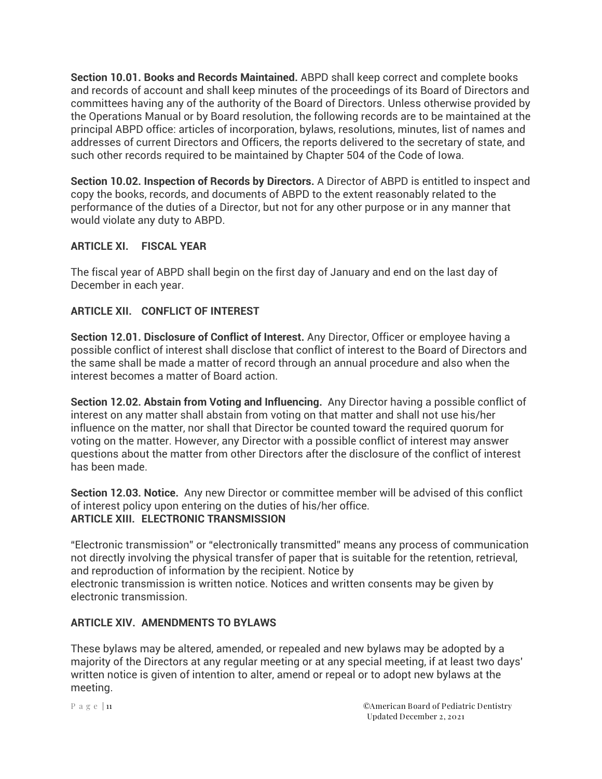**Section 10.01. Books and Records Maintained.** ABPD shall keep correct and complete books and records of account and shall keep minutes of the proceedings of its Board of Directors and committees having any of the authority of the Board of Directors. Unless otherwise provided by the Operations Manual or by Board resolution, the following records are to be maintained at the principal ABPD office: articles of incorporation, bylaws, resolutions, minutes, list of names and addresses of current Directors and Officers, the reports delivered to the secretary of state, and such other records required to be maintained by Chapter 504 of the Code of Iowa.

**Section 10.02. Inspection of Records by Directors.** A Director of ABPD is entitled to inspect and copy the books, records, and documents of ABPD to the extent reasonably related to the performance of the duties of a Director, but not for any other purpose or in any manner that would violate any duty to ABPD.

# **ARTICLE XI. FISCAL YEAR**

The fiscal year of ABPD shall begin on the first day of January and end on the last day of December in each year.

## **ARTICLE XII. CONFLICT OF INTEREST**

**Section 12.01. Disclosure of Conflict of Interest.** Any Director, Officer or employee having a possible conflict of interest shall disclose that conflict of interest to the Board of Directors and the same shall be made a matter of record through an annual procedure and also when the interest becomes a matter of Board action.

**Section 12.02. Abstain from Voting and Influencing.** Any Director having a possible conflict of interest on any matter shall abstain from voting on that matter and shall not use his/her influence on the matter, nor shall that Director be counted toward the required quorum for voting on the matter. However, any Director with a possible conflict of interest may answer questions about the matter from other Directors after the disclosure of the conflict of interest has been made.

**Section 12.03. Notice.** Any new Director or committee member will be advised of this conflict of interest policy upon entering on the duties of his/her office. **ARTICLE XIII. ELECTRONIC TRANSMISSION**

"Electronic transmission" or "electronically transmitted" means any process of communication not directly involving the physical transfer of paper that is suitable for the retention, retrieval, and reproduction of information by the recipient. Notice by electronic transmission is written notice. Notices and written consents may be given by electronic transmission.

#### **ARTICLE XIV. AMENDMENTS TO BYLAWS**

These bylaws may be altered, amended, or repealed and new bylaws may be adopted by a majority of the Directors at any regular meeting or at any special meeting, if at least two days' written notice is given of intention to alter, amend or repeal or to adopt new bylaws at the meeting.